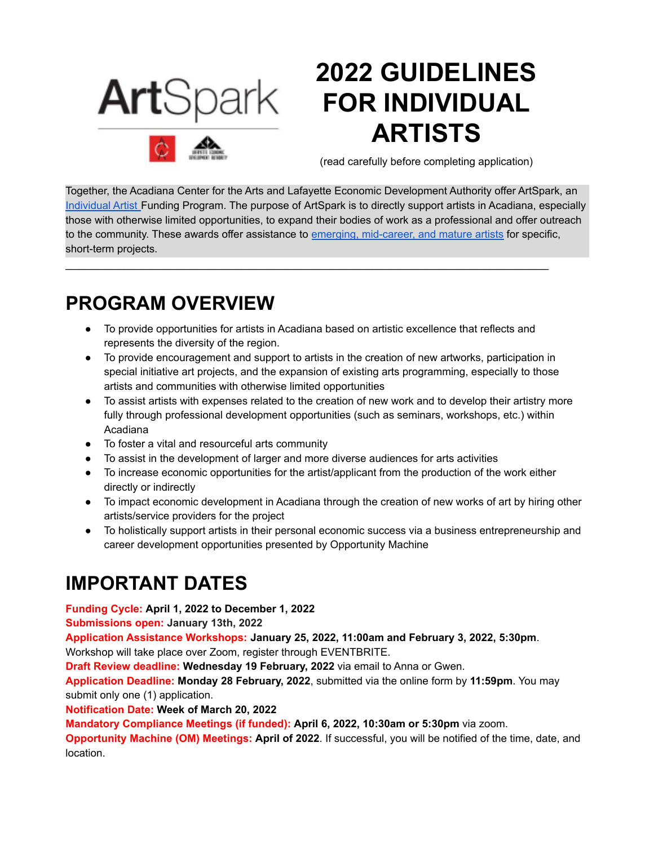

# **2022 GUIDELINES FOR INDIVIDUAL ARTISTS**

(read carefully before completing application)

Together, the Acadiana Center for the Arts and Lafayette Economic Development Authority offer ArtSpark, an [Individual](#page-4-0) Artist Funding Program. The purpose of ArtSpark is to directly support artists in Acadiana, especially those with otherwise limited opportunities, to expand their bodies of work as a professional and offer outreach to the community. These awards offer assistance to emerging, [mid-career,](#page-4-0) and mature artists for specific, short-term projects.

### **PROGRAM OVERVIEW**

● To provide opportunities for artists in Acadiana based on artistic excellence that reflects and represents the diversity of the region.

\_\_\_\_\_\_\_\_\_\_\_\_\_\_\_\_\_\_\_\_\_\_\_\_\_\_\_\_\_\_\_\_\_\_\_\_\_\_\_\_\_\_\_\_\_\_\_\_\_\_\_\_\_\_\_\_\_\_\_\_\_\_\_\_\_\_\_\_\_\_\_\_\_\_

- To provide encouragement and support to artists in the creation of new artworks, participation in special initiative art projects, and the expansion of existing arts programming, especially to those artists and communities with otherwise limited opportunities
- To assist artists with expenses related to the creation of new work and to develop their artistry more fully through professional development opportunities (such as seminars, workshops, etc.) within Acadiana
- To foster a vital and resourceful arts community
- To assist in the development of larger and more diverse audiences for arts activities
- To increase economic opportunities for the artist/applicant from the production of the work either directly or indirectly
- To impact economic development in Acadiana through the creation of new works of art by hiring other artists/service providers for the project
- To holistically support artists in their personal economic success via a business entrepreneurship and career development opportunities presented by Opportunity Machine

## **IMPORTANT DATES**

**Funding Cycle: April 1, 2022 to December 1, 2022**

**Submissions open: January 13th, 2022**

**Application Assistance Workshops: January 25, 2022, 11:00am and February 3, 2022, 5:30pm**. Workshop will take place over Zoom, register through EVENTBRITE.

**Draft Review deadline: Wednesday 19 February, 2022** via email to Anna or Gwen.

**Application Deadline: Monday 28 February, 2022**, submitted via the online form by **11:59pm**. You may submit only one (1) application.

**Notification Date: Week of March 20, 2022**

**Mandatory Compliance Meetings (if funded): April 6, 2022, 10:30am or 5:30pm** via zoom.

**Opportunity Machine (OM) Meetings: April of 2022**. If successful, you will be notified of the time, date, and location.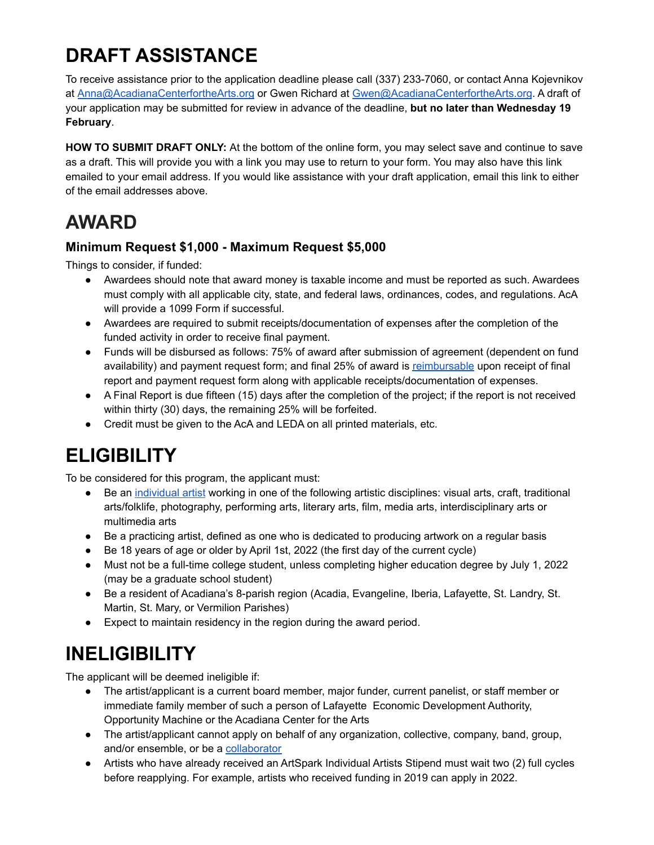## **DRAFT ASSISTANCE**

To receive assistance prior to the application deadline please call (337) 233-7060, or contact Anna Kojevnikov at [Anna@AcadianaCenterfortheArts.org](mailto:Anna@AcadianaCenterfortheArts.org) or Gwen Richard at [Gwen@AcadianaCenterfortheArts.org](mailto:Gwen@AcadianaCenterfortheArts.org). A draft of your application may be submitted for review in advance of the deadline, **but no later than Wednesday 19 February**.

**HOW TO SUBMIT DRAFT ONLY:** At the bottom of the online form, you may select save and continue to save as a draft. This will provide you with a link you may use to return to your form. You may also have this link emailed to your email address. If you would like assistance with your draft application, email this link to either of the email addresses above.

## **AWARD**

### **Minimum Request \$1,000 - Maximum Request \$5,000**

Things to consider, if funded:

- Awardees should note that award money is taxable income and must be reported as such. Awardees must comply with all applicable city, state, and federal laws, ordinances, codes, and regulations. AcA will provide a 1099 Form if successful.
- Awardees are required to submit receipts/documentation of expenses after the completion of the funded activity in order to receive final payment.
- Funds will be disbursed as follows: 75% of award after submission of agreement (dependent on fund availability) and payment request form; and final 25% of award is [reimbursable](#page-4-0) upon receipt of final report and payment request form along with applicable receipts/documentation of expenses.
- A Final Report is due fifteen (15) days after the completion of the project; if the report is not received within thirty (30) days, the remaining 25% will be forfeited.
- Credit must be given to the AcA and LEDA on all printed materials, etc.

## **ELIGIBILITY**

To be considered for this program, the applicant must:

- Be an [individual](#page-4-0) artist working in one of the following artistic disciplines: visual arts, craft, traditional arts/folklife, photography, performing arts, literary arts, film, media arts, interdisciplinary arts or multimedia arts
- Be a practicing artist, defined as one who is dedicated to producing artwork on a regular basis
- Be 18 years of age or older by April 1st, 2022 (the first day of the current cycle)
- Must not be a full-time college student, unless completing higher education degree by July 1, 2022 (may be a graduate school student)
- Be a resident of Acadiana's 8-parish region (Acadia, Evangeline, Iberia, Lafayette, St. Landry, St. Martin, St. Mary, or Vermilion Parishes)
- Expect to maintain residency in the region during the award period.

## **INELIGIBILITY**

The applicant will be deemed ineligible if:

- The artist/applicant is a current board member, major funder, current panelist, or staff member or immediate family member of such a person of Lafayette Economic Development Authority, Opportunity Machine or the Acadiana Center for the Arts
- The artist/applicant cannot apply on behalf of any organization, collective, company, band, group, and/or ensemble, or be a [collaborator](#page-4-0)
- Artists who have already received an ArtSpark Individual Artists Stipend must wait two (2) full cycles before reapplying. For example, artists who received funding in 2019 can apply in 2022.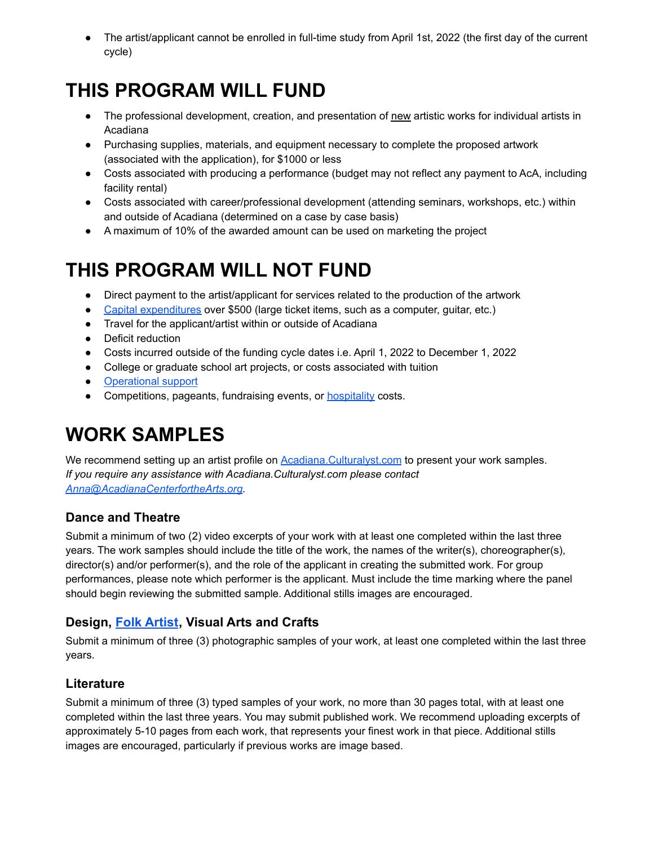• The artist/applicant cannot be enrolled in full-time study from April 1st, 2022 (the first day of the current cycle)

## **THIS PROGRAM WILL FUND**

- The professional development, creation, and presentation of new artistic works for individual artists in Acadiana
- Purchasing supplies, materials, and equipment necessary to complete the proposed artwork (associated with the application), for \$1000 or less
- Costs associated with producing a performance (budget may not reflect any payment to AcA, including facility rental)
- Costs associated with career/professional development (attending seminars, workshops, etc.) within and outside of Acadiana (determined on a case by case basis)
- A maximum of 10% of the awarded amount can be used on marketing the project

## **THIS PROGRAM WILL NOT FUND**

- Direct payment to the artist/applicant for services related to the production of the artwork
- Capital [expenditures](#page-4-0) over \$500 (large ticket items, such as a computer, guitar, etc.)
- Travel for the applicant/artist within or outside of Acadiana
- Deficit reduction
- Costs incurred outside of the funding cycle dates i.e. April 1, 2022 to December 1, 2022
- College or graduate school art projects, or costs associated with tuition
- [Operational](#page-4-0) support
- Competitions, pageants, fundraising events, or **[hospitality](#page-4-0)** costs.

## **WORK SAMPLES**

We recommend setting up an artist profile on **[Acadiana.Culturalyst.com](https://acadiana.culturalyst.com/#!/sign-up)** to present your work samples. *If you require any assistance with Acadiana.Culturalyst.com please contact [Anna@AcadianaCenterfortheArts.org](mailto:Anna@AcadianaCenterfortheArts.org).*

### **Dance and Theatre**

Submit a minimum of two (2) video excerpts of your work with at least one completed within the last three years. The work samples should include the title of the work, the names of the writer(s), choreographer(s), director(s) and/or performer(s), and the role of the applicant in creating the submitted work. For group performances, please note which performer is the applicant. Must include the time marking where the panel should begin reviewing the submitted sample. Additional stills images are encouraged.

### **Design, [Folk Artist](#page-4-0), Visual Arts and Crafts**

Submit a minimum of three (3) photographic samples of your work, at least one completed within the last three years.

### **Literature**

Submit a minimum of three (3) typed samples of your work, no more than 30 pages total, with at least one completed within the last three years. You may submit published work. We recommend uploading excerpts of approximately 5-10 pages from each work, that represents your finest work in that piece. Additional stills images are encouraged, particularly if previous works are image based.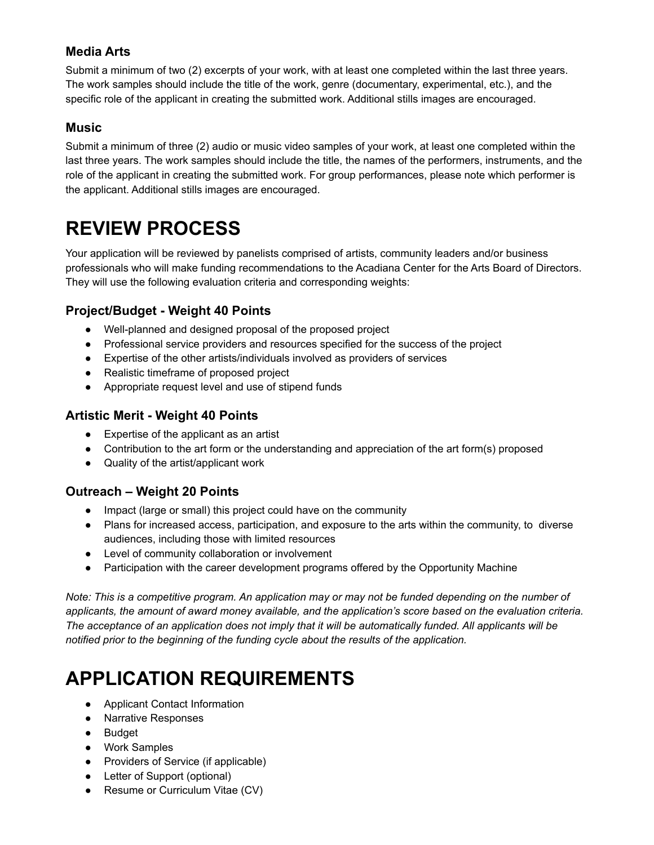### **Media Arts**

Submit a minimum of two (2) excerpts of your work, with at least one completed within the last three years. The work samples should include the title of the work, genre (documentary, experimental, etc.), and the specific role of the applicant in creating the submitted work. Additional stills images are encouraged.

### **Music**

Submit a minimum of three (2) audio or music video samples of your work, at least one completed within the last three years. The work samples should include the title, the names of the performers, instruments, and the role of the applicant in creating the submitted work. For group performances, please note which performer is the applicant. Additional stills images are encouraged.

## **REVIEW PROCESS**

Your application will be reviewed by panelists comprised of artists, community leaders and/or business professionals who will make funding recommendations to the Acadiana Center for the Arts Board of Directors. They will use the following evaluation criteria and corresponding weights:

### **Project/Budget - Weight 40 Points**

- Well-planned and designed proposal of the proposed project
- Professional service providers and resources specified for the success of the project
- Expertise of the other artists/individuals involved as providers of services
- Realistic timeframe of proposed project
- Appropriate request level and use of stipend funds

### **Artistic Merit - Weight 40 Points**

- Expertise of the applicant as an artist
- Contribution to the art form or the understanding and appreciation of the art form(s) proposed
- Quality of the artist/applicant work

### **Outreach – Weight 20 Points**

- Impact (large or small) this project could have on the community
- Plans for increased access, participation, and exposure to the arts within the community, to diverse audiences, including those with limited resources
- Level of community collaboration or involvement
- Participation with the career development programs offered by the Opportunity Machine

Note: This is a competitive program. An application may or may not be funded depending on the number of *applicants, the amount of award money available, and the application's score based on the evaluation criteria.* The acceptance of an application does not imply that it will be automatically funded. All applicants will be *notified prior to the beginning of the funding cycle about the results of the application.*

## **APPLICATION REQUIREMENTS**

- Applicant Contact Information
- Narrative Responses
- Budget
- Work Samples
- Providers of Service (if applicable)
- Letter of Support (optional)
- Resume or Curriculum Vitae (CV)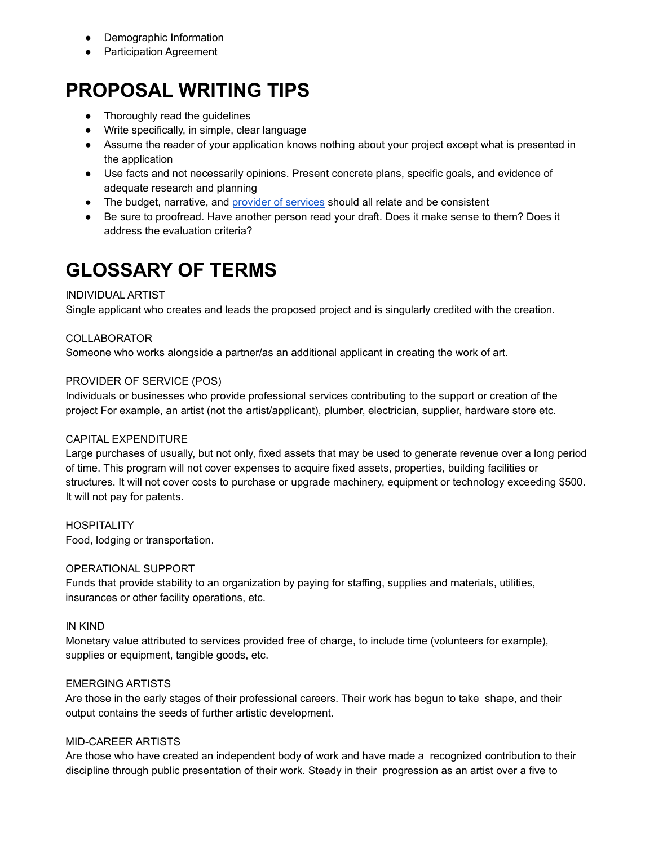- Demographic Information
- Participation Agreement

## **PROPOSAL WRITING TIPS**

- Thoroughly read the guidelines
- Write specifically, in simple, clear language
- Assume the reader of your application knows nothing about your project except what is presented in the application
- Use facts and not necessarily opinions. Present concrete plans, specific goals, and evidence of adequate research and planning
- The budget, narrative, and provider of [services](#page-4-0) should all relate and be consistent
- Be sure to proofread. Have another person read your draft. Does it make sense to them? Does it address the evaluation criteria?

## <span id="page-4-0"></span>**GLOSSARY OF TERMS**

### INDIVIDUAL ARTIST

Single applicant who creates and leads the proposed project and is singularly credited with the creation.

#### COLLABORATOR

Someone who works alongside a partner/as an additional applicant in creating the work of art.

#### PROVIDER OF SERVICE (POS)

Individuals or businesses who provide professional services contributing to the support or creation of the project For example, an artist (not the artist/applicant), plumber, electrician, supplier, hardware store etc.

### CAPITAL EXPENDITURE

Large purchases of usually, but not only, fixed assets that may be used to generate revenue over a long period of time. This program will not cover expenses to acquire fixed assets, properties, building facilities or structures. It will not cover costs to purchase or upgrade machinery, equipment or technology exceeding \$500. It will not pay for patents.

**HOSPITALITY** Food, lodging or transportation.

#### OPERATIONAL SUPPORT

Funds that provide stability to an organization by paying for staffing, supplies and materials, utilities, insurances or other facility operations, etc.

#### IN KIND

Monetary value attributed to services provided free of charge, to include time (volunteers for example), supplies or equipment, tangible goods, etc.

#### EMERGING ARTISTS

Are those in the early stages of their professional careers. Their work has begun to take shape, and their output contains the seeds of further artistic development.

#### MID-CAREER ARTISTS

Are those who have created an independent body of work and have made a recognized contribution to their discipline through public presentation of their work. Steady in their progression as an artist over a five to